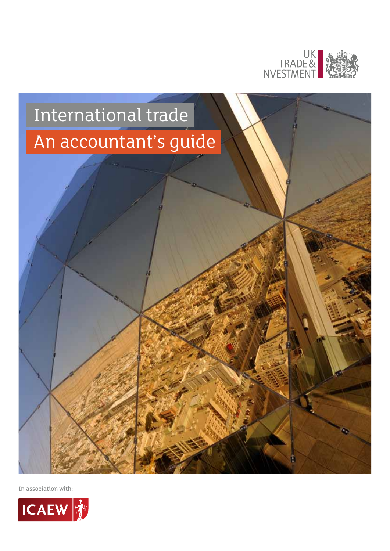

# International trade An accountant's guide



In association with:

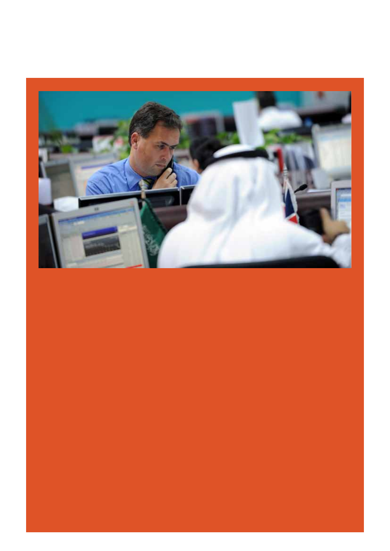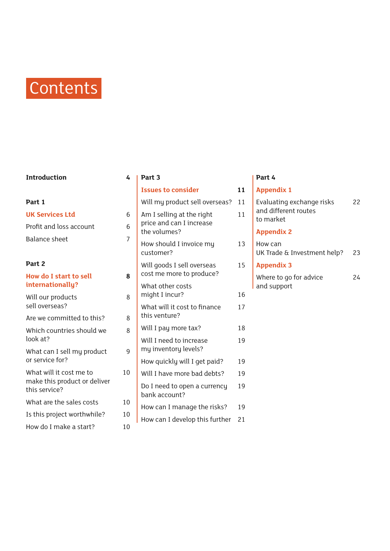# Contents

### **Introduction 4**

**Part 1** 

| <b>UK Services Ltd</b>                                                   | 6  |  |
|--------------------------------------------------------------------------|----|--|
| Profit and loss account                                                  | 6  |  |
| <b>Balance sheet</b>                                                     | 7  |  |
|                                                                          |    |  |
| Part 2                                                                   |    |  |
| <b>How do I start to sell</b><br>internationally?                        | 8  |  |
| Will our products<br>sell overseas?                                      | 8  |  |
| Are we committed to this?                                                | 8  |  |
| Which countries should we<br>look at?                                    | 8  |  |
| What can I sell my product<br>or service for?                            | 9  |  |
| What will it cost me to<br>make this product or deliver<br>this service? | 10 |  |
| What are the sales costs                                                 | 10 |  |
| Is this project worthwhile?                                              | 10 |  |
| How do I make a start?                                                   | 10 |  |
|                                                                          |    |  |

| Part 3                                                                |    |
|-----------------------------------------------------------------------|----|
| <b>Issues to consider</b>                                             | 11 |
| Will my product sell overseas?                                        | 11 |
| Am I selling at the right<br>price and can I increase<br>the volumes? | 11 |
| How should I invoice my<br>customer?                                  | 13 |
| Will goods I sell overseas<br>cost me more to produce?                | 15 |
| What other costs<br>might I incur?                                    | 16 |
| What will it cost to finance<br>this venture?                         | 17 |
| Will I pay more tax?                                                  | 18 |
| Will I need to increase<br>my inventory levels?                       | 19 |
| How quickly will I get paid?                                          | 19 |
| Will I have more bad debts?                                           | 19 |
| Do I need to open a currency<br>bank account?                         | 19 |
| How can I manage the risks?                                           | 19 |
| How can I develop this further                                        | 21 |

#### **Part 4**

#### **Appendix 1**

| Evaluating exchange risks | 22 |
|---------------------------|----|
| and different routes      |    |
| to market                 |    |
| Appendix 2                |    |

| How can<br>UK Trade & Investment help? | 23 |
|----------------------------------------|----|
| <b>Appendix 3</b>                      |    |
| Where to go for advice<br>and support  | 24 |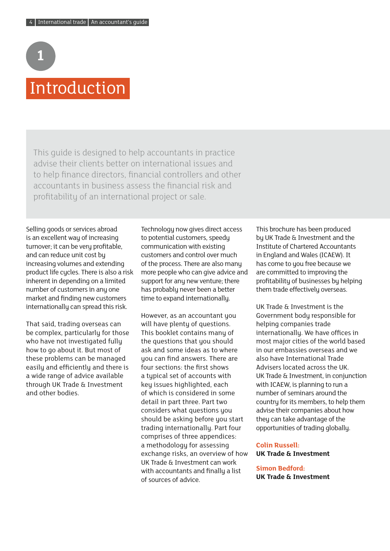

# Introduction

This guide is designed to help accountants in practice advise their clients better on international issues and to help finance directors, financial controllers and other accountants in business assess the financial risk and profitability of an international project or sale.

Selling goods or services abroad is an excellent way of increasing turnover; it can be very profitable, and can reduce unit cost by increasing volumes and extending product life cycles. There is also a risk inherent in depending on a limited number of customers in any one market and finding new customers internationally can spread this risk.

That said, trading overseas can be complex, particularly for those who have not investigated fully how to go about it. But most of these problems can be managed easily and efficiently and there is a wide range of advice available through UK Trade & Investment and other bodies.

Technology now gives direct access to potential customers, speedy communication with existing customers and control over much of the process. There are also many more people who can give advice and support for any new venture; there has probably never been a better time to expand internationally.

However, as an accountant you will have plenty of questions. This booklet contains many of the questions that you should ask and some ideas as to where uou can find answers. There are four sections: the first shows a typical set of accounts with key issues highlighted, each of which is considered in some detail in part three. Part two considers what questions you should be asking before you start trading internationally. Part four comprises of three appendices: a methodology for assessing exchange risks, an overview of how UK Trade & Investment can work with accountants and finally a list of sources of advice.

This brochure has been produced by UK Trade & Investment and the Institute of Chartered Accountants in England and Wales (ICAEW). It has come to you free because we are committed to improving the profitability of businesses by helping them trade effectively overseas.

UK Trade & Investment is the Government body responsible for helping companies trade internationally. We have offices in most major cities of the world based in our embassies overseas and we also have International Trade Advisers located across the UK. UK Trade & Investment, in conjunction with ICAEW, is planning to run a number of seminars around the country for its members, to help them advise their companies about how they can take advantage of the opportunities of trading globally.

#### **Colin Russell: UK Trade & Investment**

**Simon Bedford: UK Trade & Investment**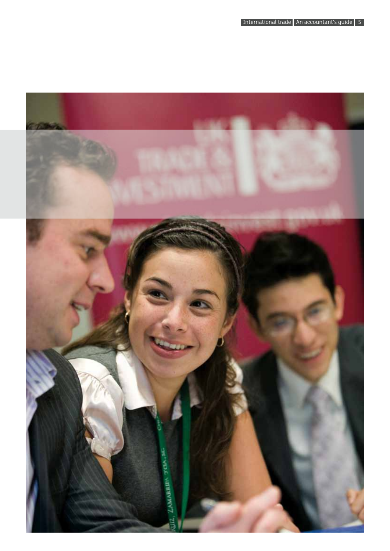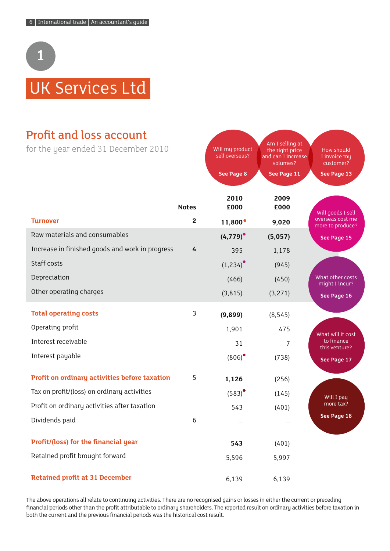

## Profit and loss account

**Turnover**

Staff costs

Depreciation

Other operating charges

**Total operating costs**

Operating profit

Interest receivable

Interest payable

Dividends paid

for the year ended 31 December 2010



6,139

6,139

**Retained profit at 31 December**

The above operations all relate to continuing activities. There are no recognised gains or losses in either the current or preceding financial periods other than the profit attributable to ordinary shareholders. The reported result on ordinary activities before taxation in both the current and the previous financial periods was the historical cost result.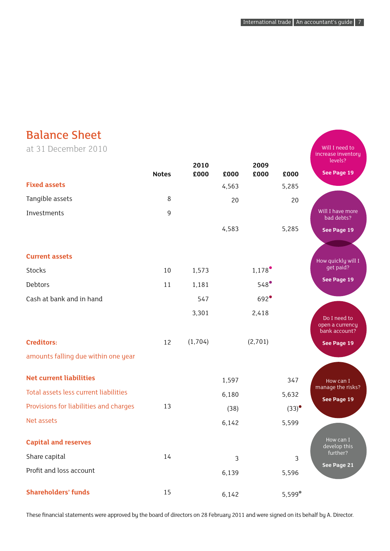Will I need to

## Balance Sheet

at 31 December 2010

|                                        |                | 2010    |       | 2009        |                                        | increase inventory<br>levels?                    |
|----------------------------------------|----------------|---------|-------|-------------|----------------------------------------|--------------------------------------------------|
|                                        | <b>Notes</b>   | £000    | £000  | £000        | £000                                   | See Page 19                                      |
| <b>Fixed assets</b>                    |                |         | 4,563 |             | 5,285                                  |                                                  |
| Tangible assets                        | 8              |         | 20    |             | 20                                     |                                                  |
| Investments                            | $\overline{9}$ |         |       |             |                                        | Will I have more<br>bad debts?                   |
|                                        |                |         | 4,583 |             | 5,285                                  | See Page 19                                      |
| <b>Current assets</b>                  |                |         |       |             |                                        | How quickly will I                               |
| <b>Stocks</b>                          | 10             | 1,573   |       | 1,178       |                                        | get paid?                                        |
| Debtors                                | 11             | 1,181   |       | $548^\circ$ |                                        | See Page 19                                      |
| Cash at bank and in hand               |                | 547     |       | 692         |                                        |                                                  |
|                                        |                | 3,301   |       | 2,418       |                                        | Do I need to<br>open a currency<br>bank account? |
| <b>Creditors:</b>                      | 12             | (1,704) |       | (2,701)     |                                        | See Page 19                                      |
| amounts falling due within one year    |                |         |       |             |                                        |                                                  |
| <b>Net current liabilities</b>         |                |         | 1,597 |             | 347                                    | How can I                                        |
| Total assets less current liabilities  |                |         | 6,180 |             | 5,632                                  | manage the risks?<br>See Page 19                 |
| Provisions for liabilities and charges | 13             |         | (38)  |             | $(33)$ <sup><math>\bullet</math></sup> |                                                  |
| Net assets                             |                |         | 6,142 |             | 5,599                                  |                                                  |
| <b>Capital and reserves</b>            |                |         |       |             |                                        | How can I<br>develop this                        |
| Share capital                          | 14             |         | 3     |             | 3                                      | further?                                         |
| Profit and loss account                |                |         | 6,139 |             | 5,596                                  | See Page 21                                      |
| <b>Shareholders' funds</b>             | 15             |         | 6,142 |             | $5,599^{\circ}$                        |                                                  |

These financial statements were approved by the board of directors on 28 February 2011 and were signed on its behalf by A. Director.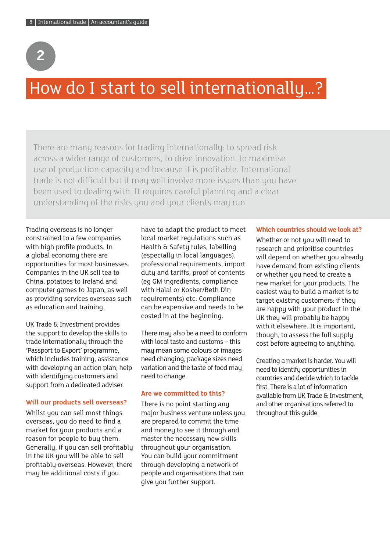

# How do I start to sell internationally…?

There are many reasons for trading internationally: to spread risk across a wider range of customers, to drive innovation, to maximise use of production capacity and because it is profitable. International trade is not difficult but it may well involve more issues than you have been used to dealing with. It requires careful planning and a clear understanding of the risks you and your clients may run.

Trading overseas is no longer constrained to a few companies with high profile products. In a global economy there are opportunities for most businesses. Companies in the UK sell tea to China, potatoes to Ireland and computer games to Japan, as well as providing services overseas such as education and training.

UK Trade & Investment provides the support to develop the skills to trade internationally through the 'Passport to Export' programme, which includes training, assistance with developing an action plan, help with identifuing customers and support from a dedicated adviser.

#### **Will our products sell overseas?**

Whilst you can sell most things overseas, you do need to find a market for your products and a reason for people to buy them. Generally, if you can sell profitably in the UK you will be able to sell profitably overseas. However, there may be additional costs if you

have to adapt the product to meet local market regulations such as Health & Safety rules, labelling (especially in local languages), professional requirements, import duty and tariffs, proof of contents (eg GM ingredients, compliance with Halal or Kosher/Beth Din requirements) etc. Compliance can be expensive and needs to be costed in at the beginning.

There may also be a need to conform with local taste and customs – this may mean some colours or images need changing, package sizes need variation and the taste of food may need to change.

#### **Are we committed to this?**

There is no point starting any major business venture unless you are prepared to commit the time and money to see it through and master the necessary new skills throughout your organisation. You can build your commitment through developing a network of people and organisations that can give you further support.

#### **Which countries shouldwe look at?**

Whether or not you will need to research and prioritise countries will depend on whether you already have demand from existing clients or whether you need to create a new market for your products. The easiest way to build a market is to target existing customers: if they are happy with your product in the UK they will probably be happy with it elsewhere. It is important, though, to assess the full supply cost before agreeing to anything.

Creating a market is harder. You will need to identify opportunities in countries and decide which to tackle first. There is a lot of information available from UK Trade & Investment, and other organisations referred to throughout this guide.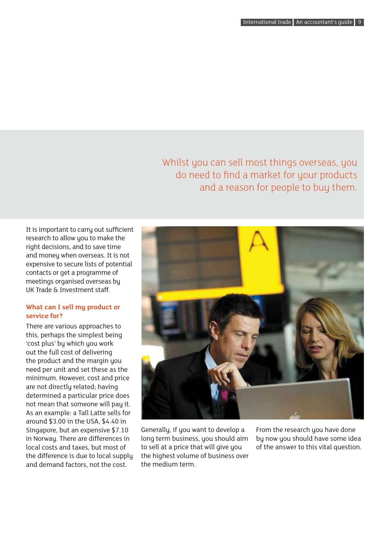Whilst you can sell most things overseas, you do need to find a market for your products and a reason for people to buy them.

It is important to carry out sufficient research to allow you to make the right decisions, and to save time and money when overseas. It is not expensive to secure lists of potential contacts or get a programme of meetings organised overseas by UK Trade & Investment staff.

#### **What can I sell my product or service for?**

There are various approaches to this, perhaps the simplest being 'cost plus' by which you work out the full cost of delivering the product and the margin you need per unit and set these as the minimum. However, cost and price are not directly related; having determined a particular price does not mean that someone will pay it. As an example: a Tall Latte sells for around \$3.00 in the USA, \$4.40 in Singapore, but an expensive \$7.10 in Norway. There are differences in local costs and taxes, but most of the difference is due to local supply and demand factors, not the cost.



Generally, if you want to develop a long term business, you should aim to sell at a price that will give you the highest volume of business over the medium term.

From the research you have done by now you should have some idea of the answer to this vital question.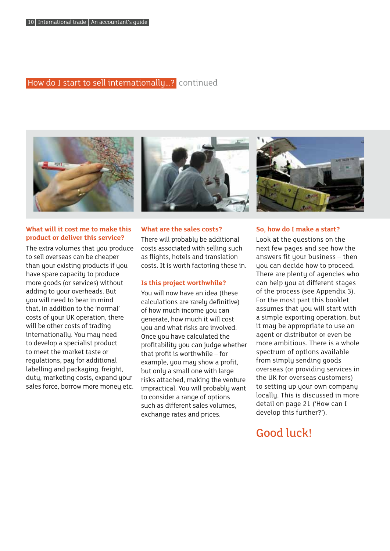### How do I start to sell internationally…? continued





The extra volumes that you produce to sell overseas can be cheaper than your existing products if you have spare capacity to produce more goods (or services) without adding to your overheads. But you will need to bear in mind that, in addition to the 'normal' costs of your UK operation, there will be other costs of trading internationally. You may need to develop a specialist product to meet the market taste or regulations, pay for additional labelling and packaging, freight, duty, marketing costs, expand your sales force, borrow more money etc.





#### **What are the sales costs?**

There will probably be additional costs associated with selling such as flights, hotels and translation costs. It is worth factoring these in.

#### **Is this project worthwhile?**

You will now have an idea (these calculations are rarely definitive) of how much income you can generate, how much it will cost you and what risks are involved. Once you have calculated the profitability you can judge whether that profit is worthwhile – for example, you may show a profit, but only a small one with large risks attached, making the venture impractical. You will probably want to consider a range of options such as different sales volumes, exchange rates and prices.

#### **So, how do I make a start?**

Look at the questions on the next few pages and see how the answers fit your business – then you can decide how to proceed. There are plenty of agencies who can help you at different stages of the process (see Appendix 3). For the most part this booklet assumes that you will start with a simple exporting operation, but it may be appropriate to use an agent or distributor or even be more ambitious. There is a whole spectrum of options available from simply sending goods overseas (or providing services in the UK for overseas customers) to setting up your own company locally. This is discussed in more detail on page 21 ('How can I develop this further?').

### Good luck!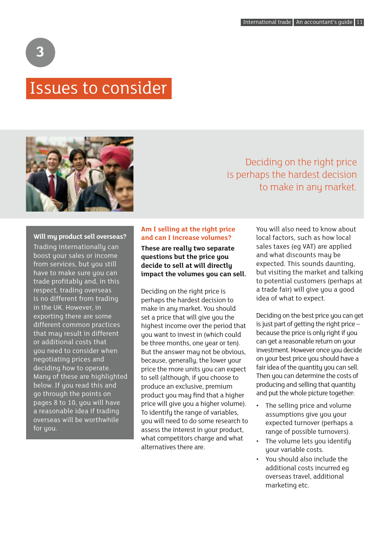# Issues to consider **3**



### Deciding on the right price is perhaps the hardest decision to make in any market.

#### **Will my product sell overseas?**

Trading internationally can boost your sales or income from services, but you still have to make sure you can trade profitably and, in this respect, trading overseas is no different from trading in the UK. However, in exporting there are some different common practices that may result in different or additional costs that you need to consider when negotiating prices and deciding how to operate. Many of these are highlighted below. If you read this and go through the points on pages 8 to 10, you will have a reasonable idea if trading overseas will be worthwhile for you.

#### **Am I selling at the right price and can I increase volumes?**

**These are really two separate questions but the price you decide to sell at will directly impact the volumes you can sell.**

Deciding on the right price is perhaps the hardest decision to make in any market. You should set a price that will give you the highest income over the period that you want to invest in (which could be three months, one year or ten). But the answer may not be obvious, because, generally, the lower your price the more units you can expect to sell (although, if you choose to produce an exclusive, premium product you may find that a higher price will give you a higher volume). To identifu the range of variables. you will need to do some research to assess the interest in your product. what competitors charge and what alternatives there are.

You will also need to know about local factors, such as how local sales taxes (eg VAT) are applied and what discounts may be expected. This sounds daunting, but visiting the market and talking to potential customers (perhaps at a trade fair) will give you a good idea of what to expect.

Deciding on the best price you can get is just part of getting the right price – because the price is only right if you can get a reasonable return on your investment. However once you decide on your best price you should have a fair idea of the quantity you can sell. Then you can determine the costs of producing and selling that quantity and put the whole picture together:

- The selling price and volume assumptions give you your expected turnover (perhaps a range of possible turnovers).
- The volume lets you identify your variable costs.
- You should also include the additional costs incurred eg overseas travel, additional marketing etc.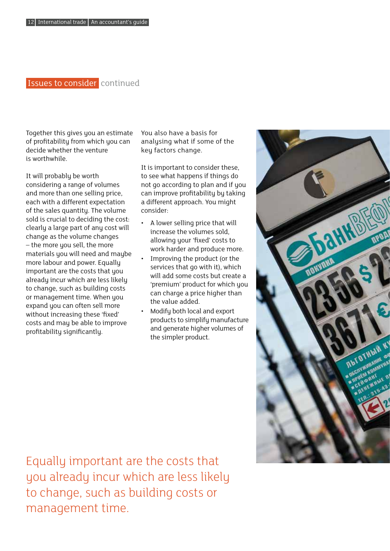### Issues to consider continued

Together this gives you an estimate of profitabilitu from which you can decide whether the venture is worthwhile.

It will probably be worth considering a range of volumes and more than one selling price, each with a different expectation of the sales quantity. The volume sold is crucial to deciding the cost: clearly a large part of any cost will change as the volume changes – the more you sell, the more materials you will need and maybe more labour and power. Equally important are the costs that you already incur which are less likely to change, such as building costs or management time. When you expand you can often sell more without increasing these 'fixed' costs and may be able to improve profitability significantly.

You also have a basis for analusing what if some of the key factors change.

It is important to consider these, to see what happens if things do not go according to plan and if you can improve profitability by taking a different approach. You might consider:

- A lower selling price that will increase the volumes sold, allowing your 'fixed' costs to work harder and produce more.
- Improving the product (or the services that go with it), which will add some costs but create a 'premium' product for which you can charge a price higher than the value added.
- Modify both local and export products to simplify manufacture and generate higher volumes of the simpler product.

Equally important are the costs that you already incur which are less likely to change, such as building costs or management time.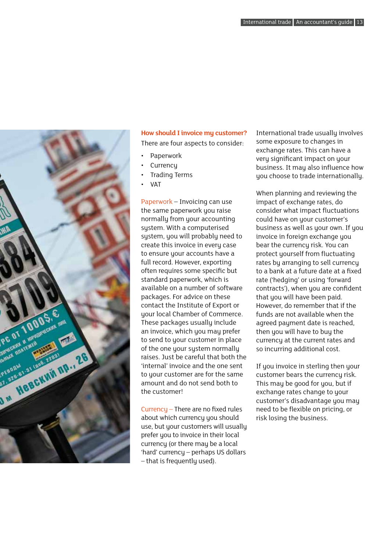

#### **Howshould Iinvoice my customer?**

There are four aspects to consider:

- Paperwork
- **Currency**
- Trading Terms
- VAT

Paperwork – Invoicing can use the same paperwork you raise normally from your accounting system. With a computerised system, you will probably need to create this invoice in every case to ensure your accounts have a full record. However, exporting often requires some specific but standard paperwork, which is available on a number of software packages. For advice on these contact the Institute of Export or your local Chamber of Commerce. These packages usually include an invoice, which you may prefer to send to your customer in place of the one your system normally raises. Just be careful that both the 'internal' invoice and the one sent to your customer are for the same amount and do not send both to the customer!

Currency – There are no fixed rules about which currency you should use, but your customers will usually prefer you to invoice in their local currency (or there may be a local 'hard' currency – perhaps US dollars – that is frequently used).

International trade usually involves some exposure to changes in exchange rates. This can have a very significant impact on your business. It may also influence how you choose to trade internationally.

When planning and reviewing the impact of exchange rates, do consider what impact fluctuations could have on your customer's business as well as your own. If you invoice in foreign exchange you bear the currency risk. You can protect yourself from fluctuating rates by arranging to sell currency to a bank at a future date at a fixed rate ('hedging' or using 'forward contracts'), when you are confident that you will have been paid. However, do remember that if the funds are not available when the agreed payment date is reached, then you will have to buy the currency at the current rates and so incurring additional cost.

If you invoice in sterling then your customer bears the currency risk. This may be good for you, but if exchange rates change to your customer's disadvantage you may need to be flexible on pricing, or risk losing the business.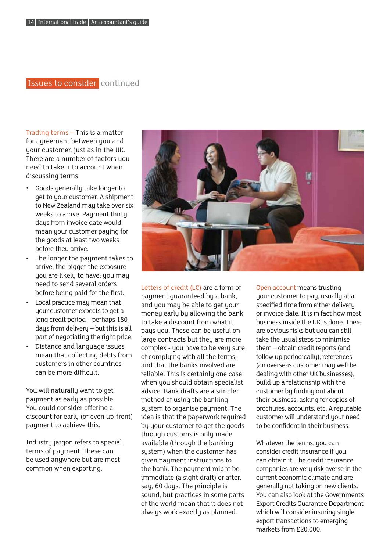#### Issues to consider continued

Trading terms – This is a matter for agreement between you and your customer, just as in the UK. There are a number of factors you need to take into account when discussing terms:

- Goods generally take longer to get to your customer. A shipment to New Zealand mau take over six weeks to arrive. Payment thirty days from invoice date would mean your customer paying for the goods at least two weeks before they arrive.
- The longer the payment takes to arrive, the bigger the exposure you are likely to have: you may need to send several orders before being paid for the first.
- Local practice may mean that your customer expects to get a long credit period – perhaps 180 days from delivery – but this is all part of negotiating the right price.
- Distance and language issues mean that collecting debts from customers in other countries can be more difficult.

You will naturally want to get payment as early as possible. You could consider offering a discount for early (or even up-front) payment to achieve this.

Industry jargon refers to special terms of payment. These can be used anywhere but are most common when exporting.



Letters of credit (LC) are a form of payment guaranteed by a bank, and you may be able to get your money early by allowing the bank to take a discount from what it pays you. These can be useful on large contracts but they are more complex - you have to be very sure of complying with all the terms, and that the banks involved are reliable. This is certainly one case when you should obtain specialist advice. Bank drafts are a simpler method of using the banking system to organise payment. The idea is that the paperwork required by your customer to get the goods through customs is only made available (through the banking system) when the customer has given payment instructions to the bank. The payment might be immediate (a sight draft) or after, say, 60 days. The principle is sound, but practices in some parts of the world mean that it does not always work exactly as planned.

Open account means trusting your customer to pay, usually at a specified time from either delivery or invoice date. It is in fact how most business inside the UK is done. There are obvious risks but you can still take the usual steps to minimise them – obtain credit reports (and follow up periodically), references (an overseas customer may well be dealing with other UK businesses), build up a relationship with the customer by finding out about their business, asking for copies of brochures, accounts, etc. A reputable customer will understand your need to be confident in their business.

Whatever the terms, you can consider credit insurance if you can obtain it. The credit insurance companies are very risk averse in the current economic climate and are generally not taking on new clients. You can also look at the Governments Export Credits Guarantee Department which will consider insuring single export transactions to emerging markets from £20,000.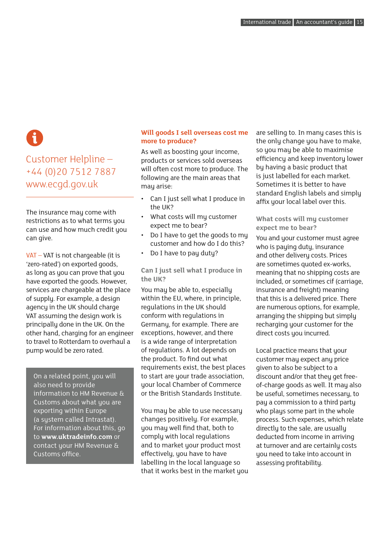### Customer Helpline – +44 (0)20 7512 7887 www.ecgd.gov.uk

The insurance may come with restrictions as to what terms you can use and how much credit you can give.

VAT – VAT is not chargeable (it is 'zero-rated') on exported goods, as long as you can prove that you have exported the goods. However, services are chargeable at the place of supply. For example, a design agency in the UK should charge VAT assuming the design work is principally done in the UK. On the other hand, charging for an engineer to travel to Rotterdam to overhaul a pump would be zero rated.

On a related point, you will also need to provide information to HM Revenue & Customs about what you are exporting within Europe (a system called Intrastat). For information about this, go to **www.uktradeinfo.com** or contact your HM Revenue & Customs office.

#### **Will goods I sell overseas cost me more to produce?**

As well as boosting your income, products or services sold overseas will often cost more to produce. The following are the main areas that may arise:

- Can I just sell what I produce in the UK?
- What costs will my customer expect me to bear?
- Do I have to get the goods to my customer and how do I do this?
- Do I have to pay duty?

#### **Can I just sell what I produce in the UK?**

You may be able to, especially within the EU, where, in principle, regulations in the UK should conform with regulations in Germany, for example. There are exceptions, however, and there is a wide range of interpretation of regulations. A lot depends on the product. To find out what requirements exist, the best places to start are your trade association, your local Chamber of Commerce or the British Standards Institute.

You may be able to use necessary changes positively. For example, you may well find that, both to comply with local regulations and to market your product most effectively, you have to have labelling in the local language so that it works best in the market you are selling to. In many cases this is the only change you have to make, so you may be able to maximise efficiency and keep inventory lower by having a basic product that is just labelled for each market. Sometimes it is better to have standard English labels and simply affix your local label over this.

#### **What costs will my customer expect me to bear?**

You and your customer must agree who is paying duty, insurance and other delivery costs. Prices are sometimes quoted ex-works, meaning that no shipping costs are included, or sometimes cif (carriage, insurance and freight) meaning that this is a delivered price. There are numerous options, for example, arranging the shipping but simply recharging your customer for the direct costs you incurred.

Local practice means that your customer may expect any price given to also be subject to a discount and/or that they get freeof-charge goods as well. It may also be useful, sometimes necessary, to pay a commission to a third party who plays some part in the whole process. Such expenses, which relate directly to the sale, are usually deducted from income in arriving at turnover and are certainly costs you need to take into account in assessing profitability.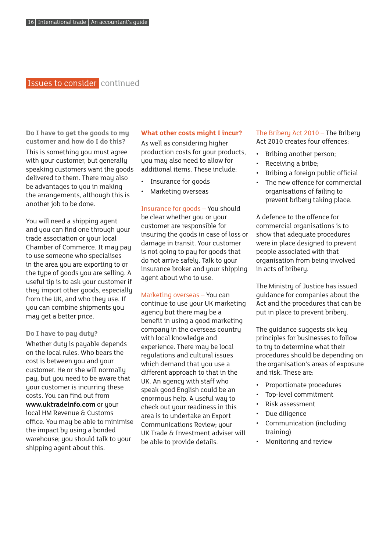#### Issues to consider continued

**Do I have to get the goods to my customer and how do I do this?**

This is something you must agree with your customer, but generally speaking customers want the goods delivered to them. There may also be advantages to you in making the arrangements, although this is another job to be done.

You will need a shipping agent and you can find one through your trade association or your local Chamber of Commerce. It may pay to use someone who specialises in the area you are exporting to or the type of goods you are selling. A useful tip is to ask your customer if they import other goods, especially from the UK, and who they use. If you can combine shipments you may get a better price.

#### **Do I have to pay duty?**

Whether duty is payable depends on the local rules. Who bears the cost is between you and your customer. He or she will normally pay, but you need to be aware that your customer is incurring these costs. You can find out from **www.uktradeinfo.com** or your local HM Revenue & Customs office. You may be able to minimise the impact by using a bonded warehouse; you should talk to your shipping agent about this.

#### **What other costs might I incur?**

As well as considering higher production costs for your products, you may also need to allow for additional items. These include:

- Insurance for goods
- Marketing overseas

Insurance for goods – You should be clear whether you or your customer are responsible for insuring the goods in case of loss or damage in transit. Your customer is not going to pay for goods that do not arrive safely. Talk to your insurance broker and your shipping agent about who to use.

Marketing overseas – You can continue to use your UK marketing agency but there may be a benefit in using a good marketing company in the overseas country with local knowledge and experience. There may be local regulations and cultural issues which demand that you use a different approach to that in the UK. An agency with staff who speak good English could be an enormous help. A useful way to check out your readiness in this area is to undertake an Export Communications Review; your UK Trade & Investment adviser will be able to provide details.

#### The Bribery Act 2010 – The Bribery Act 2010 creates four offences:

- Bribing another person;
- Receiving a bribe;
- Bribing a foreign public official
- The new offence for commercial organisations of failing to prevent bribery taking place.

A defence to the offence for commercial organisations is to show that adequate procedures were in place designed to prevent people associated with that organisation from being involved in acts of bribery.

The Ministry of Justice has issued guidance for companies about the Act and the procedures that can be put in place to prevent bribery.

The guidance suggests six key principles for businesses to follow to try to determine what their procedures should be depending on the organisation's areas of exposure and risk. These are:

- Proportionate procedures
- Top-level commitment
- Risk assessment
- Due diligence
- Communication (including training)
- Monitoring and review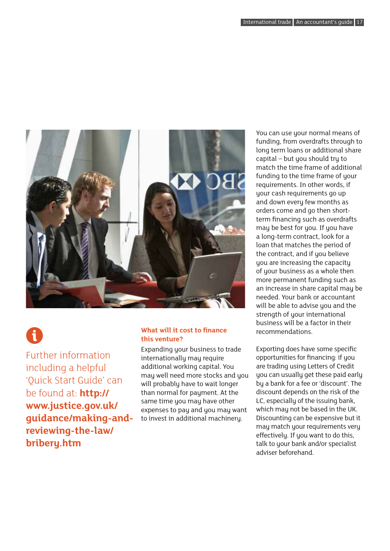

Further information including a helpful 'Quick Start Guide' can be found at: **http:// www.justice.gov.uk/ guidance/making-andreviewing-the-law/ bribery.htm**

#### **What will it cost to finance this venture?**

Expanding your business to trade internationally may require additional working capital. You may well need more stocks and you will probably have to wait longer than normal for payment. At the same time you may have other expenses to pay and you may want to invest in additional machinery.

You can use your normal means of funding, from overdrafts through to long term loans or additional share capital – but you should try to match the time frame of additional funding to the time frame of your requirements. In other words, if your cash requirements go up and down every few months as orders come and go then shortterm financing such as overdrafts may be best for you. If you have a long-term contract, look for a loan that matches the period of the contract, and if you believe you are increasing the capacity of your business as a whole then more permanent funding such as an increase in share capital may be needed. Your bank or accountant will be able to advise you and the strength of your international business will be a factor in their recommendations.

Exporting does have some specific opportunities for financing: if you are trading using Letters of Credit you can usually get these paid early by a bank for a fee or 'discount'. The discount depends on the risk of the LC, especially of the issuing bank, which may not be based in the UK. Discounting can be expensive but it may match your requirements very effectively. If you want to do this, talk to your bank and/or specialist adviser beforehand.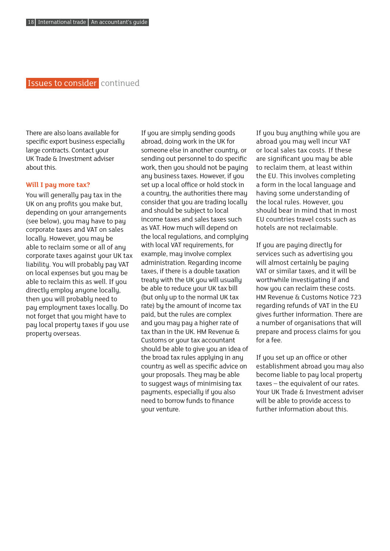#### Issues to consider continued

There are also loans available for specific export business especially large contracts. Contact your UK Trade & Investment adviser about this.

#### **Will I pay more tax?**

You will generally pay tax in the UK on any profits you make but, depending on your arrangements (see below), you may have to pay corporate taxes and VAT on sales locally. However, you may be able to reclaim some or all of any corporate taxes against your UK tax liability. You will probably pay VAT on local expenses but you may be able to reclaim this as well. If you directly employ anyone locally, then you will probably need to pay employment taxes locally. Do not forget that you might have to pay local property taxes if you use property overseas.

If you are simply sending goods abroad, doing work in the UK for someone else in another country, or sending out personnel to do specific work, then you should not be paying any business taxes. However, if you set up a local office or hold stock in a country, the authorities there may consider that you are trading locally and should be subject to local income taxes and sales taxes such as VAT. How much will depend on the local regulations, and complying with local VAT requirements, for example, may involve complex administration. Regarding income taxes, if there is a double taxation treaty with the UK you will usually be able to reduce your UK tax bill (but only up to the normal UK tax rate) by the amount of income tax paid, but the rules are complex and you may pay a higher rate of tax than in the UK. HM Revenue & Customs or your tax accountant should be able to give you an idea of the broad tax rules applying in any country as well as specific advice on your proposals. They may be able to suggest ways of minimising tax payments, especially if you also need to borrow funds to finance your venture.

If you buy anything while you are abroad you may well incur VAT or local sales tax costs. If these are significant you may be able to reclaim them, at least within the EU. This involves completing a form in the local language and having some understanding of the local rules. However, you should bear in mind that in most EU countries travel costs such as hotels are not reclaimable.

If you are paying directly for services such as advertising you will almost certainly be paying VAT or similar taxes, and it will be worthwhile investigating if and how you can reclaim these costs. HM Revenue & Customs Notice 723 regarding refunds of VAT in the EU gives further information. There are a number of organisations that will prepare and process claims for you for a fee.

If you set up an office or other establishment abroad you may also become liable to pay local property taxes – the equivalent of our rates. Your UK Trade & Investment adviser will be able to provide access to further information about this.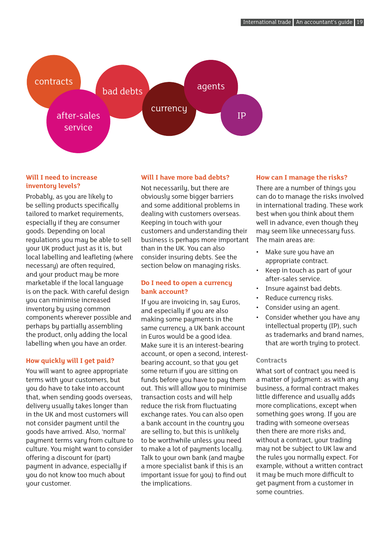

#### **Will I need to increase inventory levels?**

Probably, as you are likely to be selling products specifically tailored to market requirements, especially if they are consumer goods. Depending on local regulations you may be able to sell your UK product just as it is, but local labelling and leafleting (where necessary) are often required, and your product may be more marketable if the local language is on the pack. With careful design you can minimise increased inventory by using common components wherever possible and perhaps by partially assembling the product, only adding the local labelling when you have an order.

#### **How quickly will I get paid?**

You will want to agree appropriate terms with your customers, but you do have to take into account that, when sending goods overseas, delivery usually takes longer than in the UK and most customers will not consider payment until the goods have arrived. Also, 'normal' payment terms vary from culture to culture. You might want to consider offering a discount for (part) payment in advance, especially if you do not know too much about uour customer.

#### **Will I have more bad debts?**

Not necessarily, but there are obviously some bigger barriers and some additional problems in dealing with customers overseas. Keeping in touch with your customers and understanding their business is perhaps more important than in the UK. You can also consider insuring debts. See the section below on managing risks.

#### **Do I need to open a currency bank account?**

If you are invoicing in, say Euros, and especially if you are also making some payments in the same currency, a UK bank account in Euros would be a good idea. Make sure it is an interest-bearing account, or open a second, interestbearing account, so that you get some return if you are sitting on funds before you have to pay them out. This will allow you to minimise transaction costs and will help reduce the risk from fluctuating exchange rates. You can also open a bank account in the country you are selling to, but this is unlikely to be worthwhile unless you need to make a lot of payments locally. Talk to your own bank (and maybe a more specialist bank if this is an important issue for you) to find out the implications.

#### **How can I manage the risks?**

There are a number of things you can do to manage the risks involved in international trading. These work best when you think about them well in advance, even though they may seem like unnecessary fuss. The main areas are:

- Make sure you have an appropriate contract.
- Keep in touch as part of your after-sales service.
- Insure against bad debts.
- Reduce currencu risks.
- Consider using an agent.
- Consider whether you have any intellectual property (IP), such as trademarks and brand names, that are worth trying to protect.

#### **Contracts**

What sort of contract you need is a matter of judgment: as with any business, a formal contract makes little difference and usually adds more complications, except when something goes wrong. If you are trading with someone overseas then there are more risks and, without a contract, your trading may not be subject to UK law and the rules you normally expect. For example, without a written contract it may be much more difficult to get payment from a customer in some countries.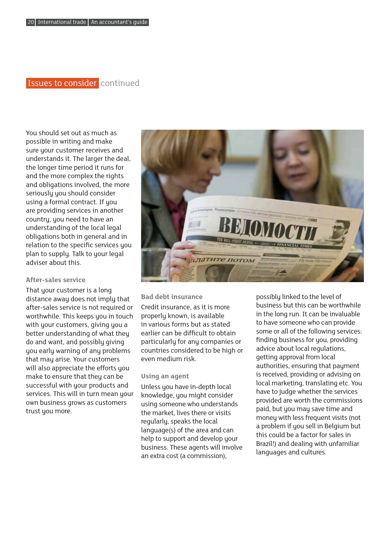#### Issues to consider continued

You should set out as much as possible in writing and make sure your customer receives and understands it. The larger the deal, the longer time period it runs for and the more complex the rights and obligations involved, the more seriously you should consider using a formal contract. If you are providing services in another country, you need to have an understanding of the local legal obligations both in general and in relation to the specific services you plan to supply. Talk to your legal adviser about this.

#### **After-sales service**

That your customer is a long distance away does not imply that after-sales service is not required or worthwhile. This keeps you in touch with your customers, giving you a better understanding of what they do and want, and possibly giving you early warning of any problems that may arise. Your customers will also appreciate the efforts you make to ensure that they can be successful with your products and services. This will in turn mean your own business grows as customers trust you more.



#### **Bad debt insurance**

Credit insurance, as it is more properly known, is available in various forms but as stated earlier can be difficult to obtain particularly for any companies or countries considered to be high or even medium risk.

#### **Using an agent**

Unless you have in-depth local knowledge, you might consider using someone who understands the market, lives there or visits regularly, speaks the local language(s) of the area and can help to support and develop your business. These agents will involve an extra cost (a commission),

possibly linked to the level of business but this can be worthwhile in the long run. It can be invaluable to have someone who can provide some or all of the following services: finding business for you, providing advice about local regulations, getting approval from local authorities, ensuring that payment is received, providing or advising on local marketing, translating etc. You have to judge whether the services provided are worth the commissions paid, but you may save time and money with less frequent visits (not a problem if you sell in Belgium but this could be a factor for sales in Brazil!) and dealing with unfamiliar languages and cultures.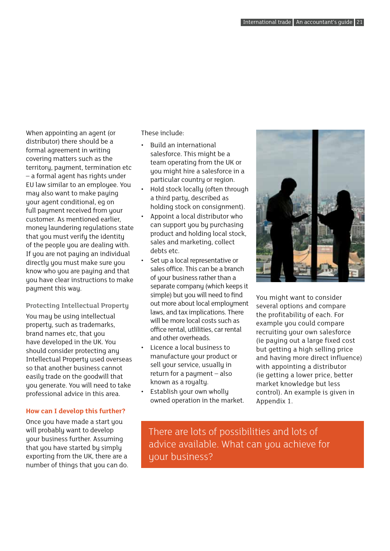When appointing an agent (or distributor) there should be a formal agreement in writing covering matters such as the territory, payment, termination etc – a formal agent has rights under EU law similar to an employee. You may also want to make paying your agent conditional, eg on full payment received from your customer. As mentioned earlier, moneu laundering regulations state that you must verify the identity of the people you are dealing with. If you are not paying an individual directly you must make sure you know who you are paying and that you have clear instructions to make payment this way.

#### **Protecting Intellectual Property**

You may be using intellectual property, such as trademarks, brand names etc, that you have developed in the UK. You should consider protecting any Intellectual Property used overseas so that another business cannot easily trade on the goodwill that you generate. You will need to take professional advice in this area.

#### **How can I develop this further?**

Once you have made a start you will probably want to develop your business further. Assuming that you have started by simply exporting from the UK, there are a number of things that you can do. These include:

- Build an international salesforce. This might be a team operating from the UK or you might hire a salesforce in a particular country or region.
- Hold stock locally (often through a third party, described as holding stock on consignment).
- Appoint a local distributor who can support you by purchasing product and holding local stock, sales and marketing, collect debts etc.
- Set up a local representative or sales office. This can be a branch of your business rather than a separate company (which keeps it simple) but you will need to find out more about local employment laws, and tax implications. There will be more local costs such as office rental, utlilities, car rental and other overheads.
- Licence a local business to manufacture your product or sell your service, usually in return for a payment – also known as a royalty.
- Establish your own wholly owned operation in the market.



You might want to consider several options and compare the profitability of each. For example you could compare recruiting your own salesforce (ie paying out a large fixed cost but getting a high selling price and having more direct influence) with appointing a distributor (ie getting a lower price, better market knowledge but less control). An example is given in Appendix 1.

There are lots of possibilities and lots of advice available. What can you achieve for your business?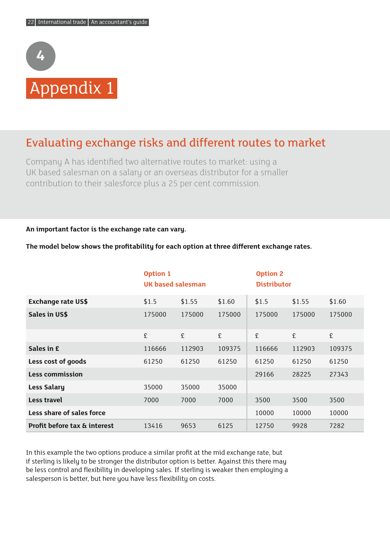

# Evaluating exchange risks and different routes to market

Company A has identified two alternative routes to market: using a UK based salesman on a salary or an overseas distributor for a smaller contribution to their salesforce plus a 25 per cent commission.

#### **An important factor is the exchange rate can vary.**

**The model below shows the profitability for each option at three different exchange rates.**

|                                         | <b>Option 1</b><br>UK based salesman |        |        | <b>Option 2</b><br><b>Distributor</b> |        |        |  |
|-----------------------------------------|--------------------------------------|--------|--------|---------------------------------------|--------|--------|--|
| <b>Exchange rate US\$</b>               | \$1.5                                | \$1.55 | \$1.60 | \$1.5                                 | \$1.55 | \$1.60 |  |
| Sales in US\$                           | 175000                               | 175000 | 175000 | 175000                                | 175000 | 175000 |  |
|                                         | £                                    | £      | £      | £                                     | £      | £      |  |
| Sales in £                              | 116666                               | 112903 | 109375 | 116666                                | 112903 | 109375 |  |
| Less cost of goods                      | 61250                                | 61250  | 61250  | 61250                                 | 61250  | 61250  |  |
| <b>Less commission</b>                  |                                      |        |        | 29166                                 | 28225  | 27343  |  |
| <b>Less Salary</b>                      | 35000                                | 35000  | 35000  |                                       |        |        |  |
| Less travel                             | 7000                                 | 7000   | 7000   | 3500                                  | 3500   | 3500   |  |
| Less share of sales force               |                                      |        |        | 10000                                 | 10000  | 10000  |  |
| <b>Profit before tax &amp; interest</b> | 13416                                | 9653   | 6125   | 12750                                 | 9928   | 7282   |  |

In this example the two options produce a similar profit at the mid exchange rate, but if sterling is likely to be stronger the distributor option is better. Against this there may be less control and flexibility in developing sales. If sterling is weaker then employing a salesperson is better, but here you have less flexibility on costs.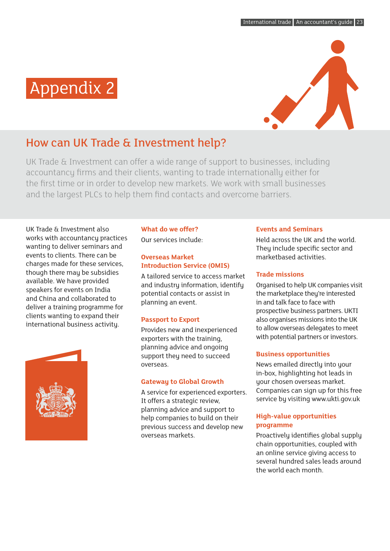# Appendix 2



## How can UK Trade & Investment help?

UK Trade & Investment can offer a wide range of support to businesses, including accountancy firms and their clients, wanting to trade internationally either for the first time or in order to develop new markets. We work with small businesses and the largest PLCs to help them find contacts and overcome barriers.

UK Trade & Investment also works with accountancy practices wanting to deliver seminars and events to clients. There can be charges made for these services, though there may be subsidies available. We have provided speakers for events on India and China and collaborated to deliver a training programme for clients wanting to expand their international business activity.



#### **What do we offer?** Our services include:

#### **Overseas Market Introduction Service (OMIS)**

A tailored service to access market and industry information, identify potential contacts or assist in planning an event.

#### **Passport to Export**

Provides new and inexperienced exporters with the training, planning advice and ongoing support they need to succeed overseas.

#### **Gateway to Global Growth**

A service for experienced exporters. It offers a strategic review, planning advice and support to help companies to build on their previous success and develop new overseas markets.

#### **Events and Seminars**

Held across the UK and the world. Theu include specific sector and marketbased activities.

#### **Trade missions**

Organised to help UK companies visit the marketplace they're interested in and talk face to face with prospective business partners. UKTI also organises missions into the UK to allow overseas delegates to meet with potential partners or investors.

#### **Business opportunities**

News emailed directly into your in-box, highlighting hot leads in your chosen overseas market. Companies can sign up for this free service by visiting www.ukti.gov.uk

#### **High-value opportunities programme**

Proactively identifies global supply chain opportunities, coupled with an online service giving access to several hundred sales leads around the world each month.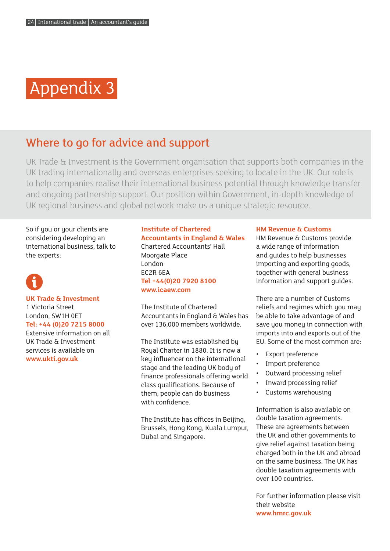# Appendix 3

### Where to go for advice and support

UK Trade & Investment is the Government organisation that supports both companies in the UK trading internationally and overseas enterprises seeking to locate in the UK. Our role is to help companies realise their international business potential through knowledge transfer and ongoing partnership support. Our position within Government, in-depth knowledge of UK regional business and global network make us a unique strategic resource.

So if you or your clients are considering developing an international business, talk to the experts:



#### **UK Trade & Investment** 1 Victoria Street London, SW1H 0ET **Tel: +44 (0)20 7215 8000** Extensive information on all

UK Trade & Investment services is available on **www.ukti.gov.uk**

**Institute of Chartered Accountants in England & Wales** Chartered Accountants' Hall Moorgate Place London EC2R 6EA **Tel +44(0)20 7920 8100 www.icaew.com**

The Institute of Chartered Accountants in England & Wales has over 136,000 members worldwide.

The Institute was established by Royal Charter in 1880. It is now a key influencer on the international stage and the leading UK body of finance professionals offering world class qualifications. Because of them, people can do business with confidence.

The Institute has offices in Beijing, Brussels, Hong Kong, Kuala Lumpur, Dubai and Singapore.

#### **HM Revenue & Customs**

HM Revenue & Customs provide a wide range of information and guides to help businesses importing and exporting goods, together with general business information and support guides.

There are a number of Customs reliefs and regimes which you may be able to take advantage of and save you money in connection with imports into and exports out of the EU. Some of the most common are:

- Export preference
- Import preference
- Outward processing relief
- Inward processing relief
- Customs warehousing

Information is also available on double taxation agreements. These are agreements between the UK and other governments to give relief against taxation being charged both in the UK and abroad on the same business. The UK has double taxation agreements with over 100 countries.

For further information please visit their website **www.hmrc.gov.uk**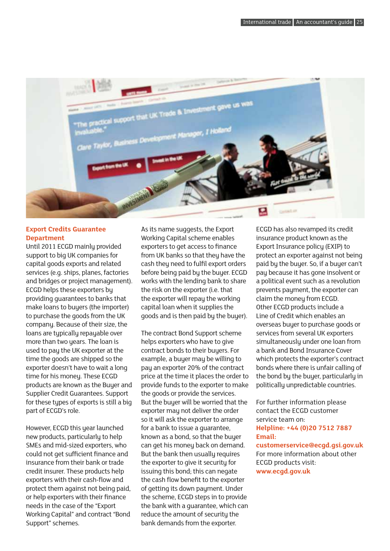

#### **Export Credits Guarantee Department**

Until 2011 ECGD mainly provided support to big UK companies for capital goods exports and related services (e.g. ships, planes, factories and bridges or project management). ECGD helps these exporters by providing guarantees to banks that make loans to buyers (the importer) to purchase the goods from the UK company. Because of their size, the loans are typically repayable over more than two years. The loan is used to pay the UK exporter at the time the goods are shipped so the exporter doesn't have to wait a long time for his money. These ECGD products are known as the Buyer and Supplier Credit Guarantees. Support for these types of exports is still a big part of ECGD's role.

However, ECGD this year launched new products, particularly to help SMEs and mid-sized exporters, who could not get sufficient finance and insurance from their bank or trade credit insurer. These products help exporters with their cash-flow and protect them against not being paid, or help exporters with their finance needs in the case of the "Export Working Capital" and contract "Bond Support" schemes.

As its name suggests, the Export Working Capital scheme enables exporters to get access to finance from UK banks so that they have the cash they need to fulfil export orders before being paid by the buyer. ECGD works with the lending bank to share the risk on the exporter (i.e. that the exporter will repay the working capital loan when it supplies the goods and is then paid by the buyer).

The contract Bond Support scheme helps exporters who have to give contract bonds to their buyers. For example, a buyer may be willing to pay an exporter 20% of the contract price at the time it places the order to provide funds to the exporter to make the goods or provide the services. But the buyer will be worried that the exporter may not deliver the order so it will ask the exporter to arrange for a bank to issue a guarantee, known as a bond, so that the buyer can get his money back on demand. But the bank then usually requires the exporter to give it security for issuing this bond; this can negate the cash flow benefit to the exporter of getting its down payment. Under the scheme, ECGD steps in to provide the bank with a guarantee, which can reduce the amount of securitu the bank demands from the exporter.

ECGD has also revamped its credit insurance product known as the Export Insurance policy (EXIP) to protect an exporter against not being paid by the buyer. So, if a buyer can't pay because it has gone insolvent or a political event such as a revolution prevents payment, the exporter can claim the money from ECGD. Other ECGD products include a Line of Credit which enables an overseas buyer to purchase goods or services from several UK exporters simultaneously under one loan from a bank and Bond Insurance Cover which protects the exporter's contract bonds where there is unfair calling of the bond by the buyer, particularly in politically unpredictable countries.

For further information please contact the ECGD customer service team on: **Helpline: +44 (0)20 7512 7887 Email: customerservice@ecgd.gsi.gov.uk** For more information about other

ECGD products visit: **www.ecgd.gov.uk**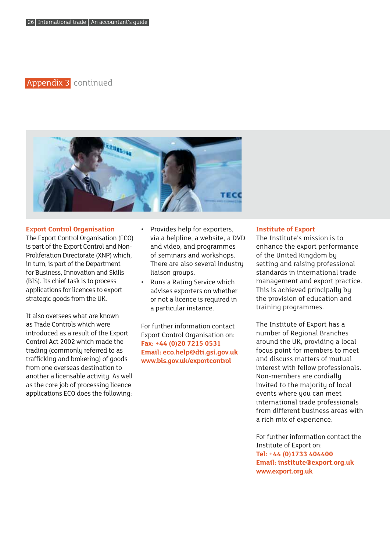



#### **Export Control Organisation**

The Export Control Organisation (ECO) is part of the Export Control and Non-Proliferation Directorate (XNP) which, in turn, is part of the Department for Business, Innovation and Skills (BIS). Its chief task is to process applications for licences to export strategic goods from the UK.

It also oversees what are known as Trade Controls which were introduced as a result of the Export Control Act 2002 which made the trading (commonly referred to as trafficking and brokering) of goods from one overseas destination to another a licensable activity. As well as the core job of processing licence applications ECO does the following:

- Provides help for exporters, via a helpline, a website, a DVD and video, and programmes of seminars and workshops. There are also several industry liaison groups.
- Runs a Rating Service which advises exporters on whether or not a licence is required in a particular instance.

For further information contact Export Control Organisation on: **Fax: +44 (0)20 7215 0531 Email: eco.help@dti.gsi.gov.uk www.bis.gov.uk/exportcontrol**

#### **Institute of Export**

The Institute's mission is to enhance the export performance of the United Kingdom by setting and raising professional standards in international trade management and export practice. This is achieved principally by the provision of education and training programmes.

The Institute of Export has a number of Regional Branches around the UK, providing a local focus point for members to meet and discuss matters of mutual interest with fellow professionals. Non-members are cordially invited to the majority of local events where you can meet international trade professionals from different business areas with a rich mix of experience.

For further information contact the Institute of Export on: **Tel: +44 (0)1733 404400 Email: institute@export.org.uk www.export.org.uk**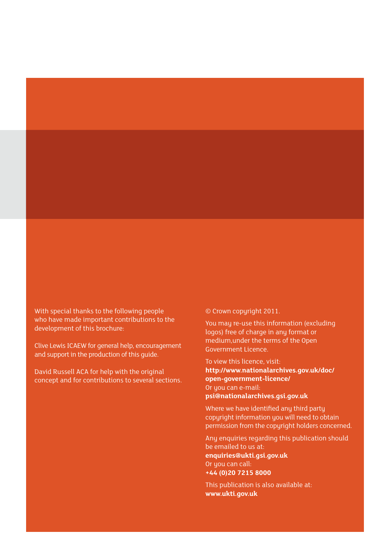With special thanks to the following people who have made important contributions to the development of this brochure:

Clive Lewis ICAEW for general help, encouragement and support in the production of this guide.

David Russell ACA for help with the original concept and for contributions to several sections. © Crown copyright 2011.

You may re-use this information (excluding logos) free of charge in any format or medium,under the terms of the Open Government Licence.

To view this licence, visit: **http://www.nationalarchives.gov.uk/doc/ open-government-licence/** Or you can e-mail: **psi@nationalarchives.gsi.gov.uk**

Where we have identified any third party copyright information you will need to obtain permission from the copyright holders concerned.

Any enquiries regarding this publication should be emailed to us at: **enquiries@ukti.gsi.gov.uk** Or you can call: **+44 (0)20 7215 8000**

This publication is also available at: **www.ukti.gov.uk**